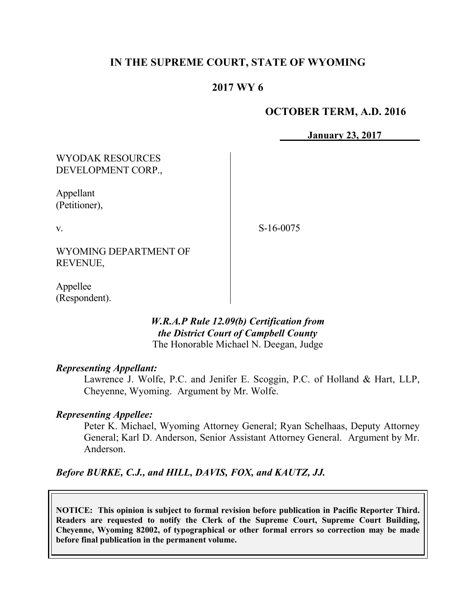# **IN THE SUPREME COURT, STATE OF WYOMING**

### **2017 WY 6**

#### **OCTOBER TERM, A.D. 2016**

**January 23, 2017**

WYODAK RESOURCES DEVELOPMENT CORP.,

Appellant (Petitioner),

v.

S-16-0075

WYOMING DEPARTMENT OF REVENUE,

Appellee (Respondent).

### *W.R.A.P Rule 12.09(b) Certification from the District Court of Campbell County* The Honorable Michael N. Deegan, Judge

#### *Representing Appellant:*

Lawrence J. Wolfe, P.C. and Jenifer E. Scoggin, P.C. of Holland & Hart, LLP, Cheyenne, Wyoming. Argument by Mr. Wolfe.

#### *Representing Appellee:*

Peter K. Michael, Wyoming Attorney General; Ryan Schelhaas, Deputy Attorney General; Karl D. Anderson, Senior Assistant Attorney General. Argument by Mr. Anderson.

*Before BURKE, C.J., and HILL, DAVIS, FOX, and KAUTZ, JJ.*

**NOTICE: This opinion is subject to formal revision before publication in Pacific Reporter Third. Readers are requested to notify the Clerk of the Supreme Court, Supreme Court Building, Cheyenne, Wyoming 82002, of typographical or other formal errors so correction may be made before final publication in the permanent volume.**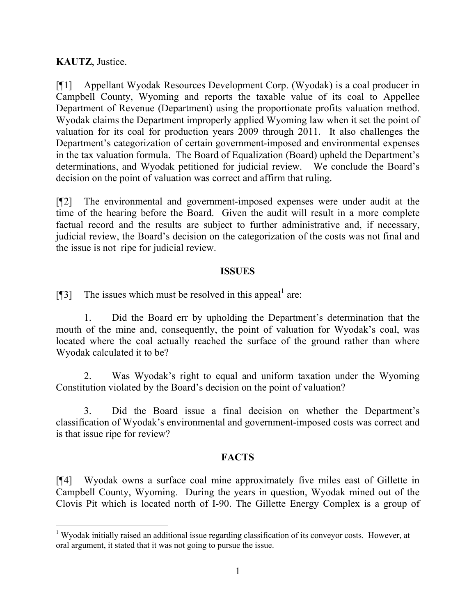# **KAUTZ**, Justice.

l

[¶1] Appellant Wyodak Resources Development Corp. (Wyodak) is a coal producer in Campbell County, Wyoming and reports the taxable value of its coal to Appellee Department of Revenue (Department) using the proportionate profits valuation method. Wyodak claims the Department improperly applied Wyoming law when it set the point of valuation for its coal for production years 2009 through 2011. It also challenges the Department's categorization of certain government-imposed and environmental expenses in the tax valuation formula. The Board of Equalization (Board) upheld the Department's determinations, and Wyodak petitioned for judicial review. We conclude the Board's decision on the point of valuation was correct and affirm that ruling.

[¶2] The environmental and government-imposed expenses were under audit at the time of the hearing before the Board. Given the audit will result in a more complete factual record and the results are subject to further administrative and, if necessary, judicial review, the Board's decision on the categorization of the costs was not final and the issue is not ripe for judicial review.

### **ISSUES**

[ $\llbracket$ 3] The issues which must be resolved in this appeal<sup>1</sup> are:

1. Did the Board err by upholding the Department's determination that the mouth of the mine and, consequently, the point of valuation for Wyodak's coal, was located where the coal actually reached the surface of the ground rather than where Wyodak calculated it to be?

2. Was Wyodak's right to equal and uniform taxation under the Wyoming Constitution violated by the Board's decision on the point of valuation?

3. Did the Board issue a final decision on whether the Department's classification of Wyodak's environmental and government-imposed costs was correct and is that issue ripe for review?

# **FACTS**

[¶4] Wyodak owns a surface coal mine approximately five miles east of Gillette in Campbell County, Wyoming. During the years in question, Wyodak mined out of the Clovis Pit which is located north of I-90. The Gillette Energy Complex is a group of

 $1$  Wyodak initially raised an additional issue regarding classification of its conveyor costs. However, at oral argument, it stated that it was not going to pursue the issue.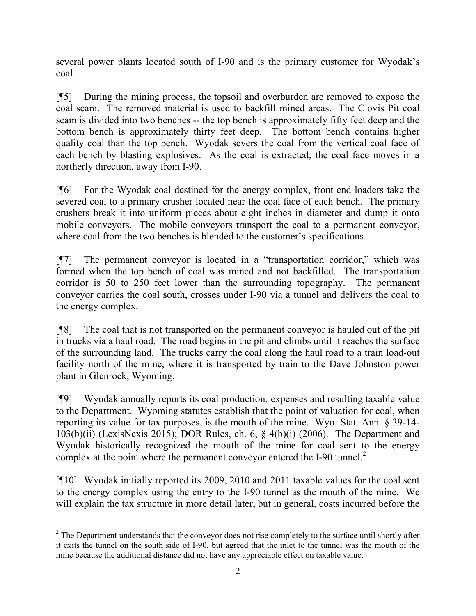several power plants located south of I-90 and is the primary customer for Wyodak's coal.

[¶5] During the mining process, the topsoil and overburden are removed to expose the coal seam. The removed material is used to backfill mined areas. The Clovis Pit coal seam is divided into two benches -- the top bench is approximately fifty feet deep and the bottom bench is approximately thirty feet deep. The bottom bench contains higher quality coal than the top bench. Wyodak severs the coal from the vertical coal face of each bench by blasting explosives. As the coal is extracted, the coal face moves in a northerly direction, away from I-90.

[¶6] For the Wyodak coal destined for the energy complex, front end loaders take the severed coal to a primary crusher located near the coal face of each bench. The primary crushers break it into uniform pieces about eight inches in diameter and dump it onto mobile conveyors. The mobile conveyors transport the coal to a permanent conveyor, where coal from the two benches is blended to the customer's specifications.

[¶7] The permanent conveyor is located in a "transportation corridor," which was formed when the top bench of coal was mined and not backfilled. The transportation corridor is 50 to 250 feet lower than the surrounding topography. The permanent conveyor carries the coal south, crosses under I-90 via a tunnel and delivers the coal to the energy complex.

[¶8] The coal that is not transported on the permanent conveyor is hauled out of the pit in trucks via a haul road. The road begins in the pit and climbs until it reaches the surface of the surrounding land. The trucks carry the coal along the haul road to a train load-out facility north of the mine, where it is transported by train to the Dave Johnston power plant in Glenrock, Wyoming.

[¶9] Wyodak annually reports its coal production, expenses and resulting taxable value to the Department. Wyoming statutes establish that the point of valuation for coal, when reporting its value for tax purposes, is the mouth of the mine. Wyo. Stat. Ann. § 39-14-  $103(b)(ii)$  (LexisNexis 2015); DOR Rules, ch. 6, § 4(b)(i) (2006). The Department and Wyodak historically recognized the mouth of the mine for coal sent to the energy complex at the point where the permanent conveyor entered the I-90 tunnel.<sup>2</sup>

[¶10] Wyodak initially reported its 2009, 2010 and 2011 taxable values for the coal sent to the energy complex using the entry to the I-90 tunnel as the mouth of the mine. We will explain the tax structure in more detail later, but in general, costs incurred before the

l

 $2$  The Department understands that the conveyor does not rise completely to the surface until shortly after it exits the tunnel on the south side of I-90, but agreed that the inlet to the tunnel was the mouth of the mine because the additional distance did not have any appreciable effect on taxable value.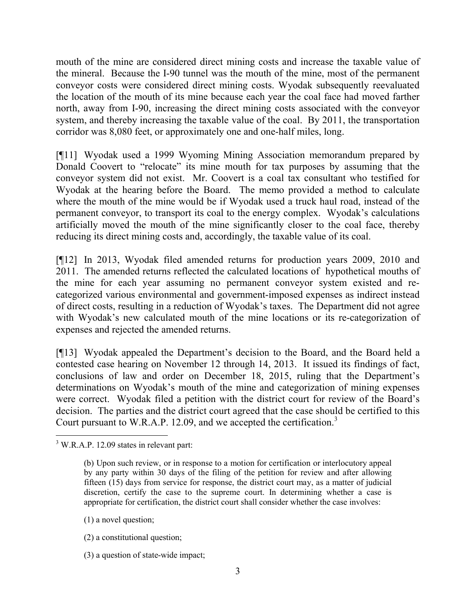mouth of the mine are considered direct mining costs and increase the taxable value of the mineral. Because the I-90 tunnel was the mouth of the mine, most of the permanent conveyor costs were considered direct mining costs. Wyodak subsequently reevaluated the location of the mouth of its mine because each year the coal face had moved farther north, away from I-90, increasing the direct mining costs associated with the conveyor system, and thereby increasing the taxable value of the coal. By 2011, the transportation corridor was 8,080 feet, or approximately one and one-half miles, long.

[¶11] Wyodak used a 1999 Wyoming Mining Association memorandum prepared by Donald Coovert to "relocate" its mine mouth for tax purposes by assuming that the conveyor system did not exist. Mr. Coovert is a coal tax consultant who testified for Wyodak at the hearing before the Board. The memo provided a method to calculate where the mouth of the mine would be if Wyodak used a truck haul road, instead of the permanent conveyor, to transport its coal to the energy complex. Wyodak's calculations artificially moved the mouth of the mine significantly closer to the coal face, thereby reducing its direct mining costs and, accordingly, the taxable value of its coal.

[¶12] In 2013, Wyodak filed amended returns for production years 2009, 2010 and 2011. The amended returns reflected the calculated locations of hypothetical mouths of the mine for each year assuming no permanent conveyor system existed and recategorized various environmental and government-imposed expenses as indirect instead of direct costs, resulting in a reduction of Wyodak's taxes. The Department did not agree with Wyodak's new calculated mouth of the mine locations or its re-categorization of expenses and rejected the amended returns.

[¶13] Wyodak appealed the Department's decision to the Board, and the Board held a contested case hearing on November 12 through 14, 2013. It issued its findings of fact, conclusions of law and order on December 18, 2015, ruling that the Department's determinations on Wyodak's mouth of the mine and categorization of mining expenses were correct. Wyodak filed a petition with the district court for review of the Board's decision. The parties and the district court agreed that the case should be certified to this Court pursuant to W.R.A.P. 12.09, and we accepted the certification.<sup>3</sup>

- (1) a novel question;
- (2) a constitutional question;
- (3) a question of state-wide impact;

 $3$  W.R.A.P. 12.09 states in relevant part:

<sup>(</sup>b) Upon such review, or in response to a motion for certification or interlocutory appeal by any party within 30 days of the filing of the petition for review and after allowing fifteen (15) days from service for response, the district court may, as a matter of judicial discretion, certify the case to the supreme court. In determining whether a case is appropriate for certification, the district court shall consider whether the case involves: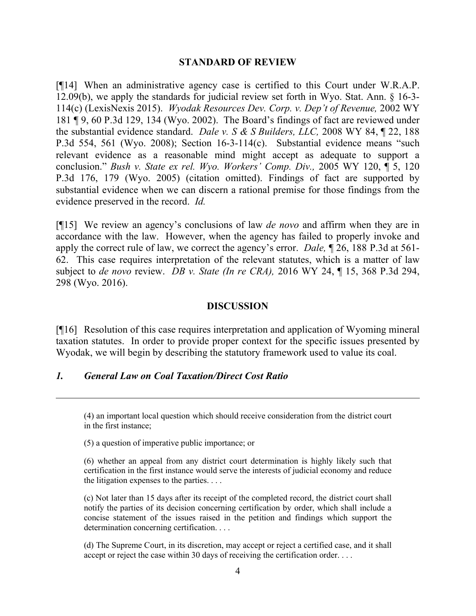#### **STANDARD OF REVIEW**

[¶14] When an administrative agency case is certified to this Court under W.R.A.P. 12.09(b), we apply the standards for judicial review set forth in Wyo. Stat. Ann. § 16-3- 114(c) (LexisNexis 2015). *Wyodak Resources Dev. Corp. v. Dep't of Revenue,* 2002 WY 181 ¶ 9, 60 P.3d 129, 134 (Wyo. 2002). The Board's findings of fact are reviewed under the substantial evidence standard. *Dale v. S & S Builders, LLC,* 2008 WY 84, ¶ 22, 188 P.3d 554, 561 (Wyo. 2008); Section 16-3-114(c). Substantial evidence means "such relevant evidence as a reasonable mind might accept as adequate to support a conclusion." *Bush v. State ex rel. Wyo. Workers' Comp. Div.,* 2005 WY 120, ¶ 5, 120 P.3d 176, 179 (Wyo. 2005) (citation omitted). Findings of fact are supported by substantial evidence when we can discern a rational premise for those findings from the evidence preserved in the record. *Id.*

[¶15] We review an agency's conclusions of law *de novo* and affirm when they are in accordance with the law. However, when the agency has failed to properly invoke and apply the correct rule of law, we correct the agency's error. *Dale,* ¶ 26, 188 P.3d at 561- 62. This case requires interpretation of the relevant statutes, which is a matter of law subject to *de novo* review. *DB v. State (In re CRA),* 2016 WY 24, ¶ 15, 368 P.3d 294, 298 (Wyo. 2016).

### **DISCUSSION**

[¶16] Resolution of this case requires interpretation and application of Wyoming mineral taxation statutes. In order to provide proper context for the specific issues presented by Wyodak, we will begin by describing the statutory framework used to value its coal.

### *1. General Law on Coal Taxation/Direct Cost Ratio*

(5) a question of imperative public importance; or

(c) Not later than 15 days after its receipt of the completed record, the district court shall notify the parties of its decision concerning certification by order, which shall include a concise statement of the issues raised in the petition and findings which support the determination concerning certification. . . .

(d) The Supreme Court, in its discretion, may accept or reject a certified case, and it shall accept or reject the case within 30 days of receiving the certification order. . . .

<sup>(4)</sup> an important local question which should receive consideration from the district court in the first instance;

<sup>(6)</sup> whether an appeal from any district court determination is highly likely such that certification in the first instance would serve the interests of judicial economy and reduce the litigation expenses to the parties. . . .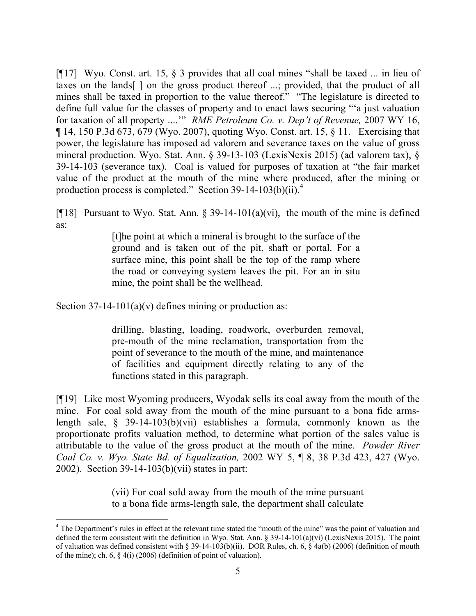[¶17] Wyo. Const. art. 15, § 3 provides that all coal mines "shall be taxed ... in lieu of taxes on the lands[ ] on the gross product thereof ...; provided, that the product of all mines shall be taxed in proportion to the value thereof." "The legislature is directed to define full value for the classes of property and to enact laws securing "'a just valuation for taxation of all property ....'" *RME Petroleum Co. v. Dep't of Revenue,* 2007 WY 16, ¶ 14, 150 P.3d 673, 679 (Wyo. 2007), quoting Wyo. Const. art. 15, § 11. Exercising that power, the legislature has imposed ad valorem and severance taxes on the value of gross mineral production. Wyo. Stat. Ann. § 39-13-103 (LexisNexis 2015) (ad valorem tax), § 39-14-103 (severance tax). Coal is valued for purposes of taxation at "the fair market value of the product at the mouth of the mine where produced, after the mining or production process is completed." Section 39-14-103(b)(ii).<sup>4</sup>

[ $[18]$ ] Pursuant to Wyo. Stat. Ann. § 39-14-101(a)(vi), the mouth of the mine is defined as:

> [t]he point at which a mineral is brought to the surface of the ground and is taken out of the pit, shaft or portal. For a surface mine, this point shall be the top of the ramp where the road or conveying system leaves the pit. For an in situ mine, the point shall be the wellhead.

Section  $37-14-101(a)(v)$  defines mining or production as:

l

drilling, blasting, loading, roadwork, overburden removal, pre-mouth of the mine reclamation, transportation from the point of severance to the mouth of the mine, and maintenance of facilities and equipment directly relating to any of the functions stated in this paragraph.

[¶19] Like most Wyoming producers, Wyodak sells its coal away from the mouth of the mine. For coal sold away from the mouth of the mine pursuant to a bona fide armslength sale, § 39-14-103(b)(vii) establishes a formula, commonly known as the proportionate profits valuation method, to determine what portion of the sales value is attributable to the value of the gross product at the mouth of the mine. *Powder River Coal Co. v. Wyo. State Bd. of Equalization,* 2002 WY 5, ¶ 8, 38 P.3d 423, 427 (Wyo. 2002). Section 39-14-103(b)(vii) states in part:

> (vii) For coal sold away from the mouth of the mine pursuant to a bona fide arms-length sale, the department shall calculate

<sup>&</sup>lt;sup>4</sup> The Department's rules in effect at the relevant time stated the "mouth of the mine" was the point of valuation and defined the term consistent with the definition in Wyo. Stat. Ann.  $\S 39-14-101(a)(vi)$  (LexisNexis 2015). The point of valuation was defined consistent with § 39-14-103(b)(ii). DOR Rules, ch. 6, § 4a(b) (2006) (definition of mouth of the mine); ch. 6, § 4(i) (2006) (definition of point of valuation).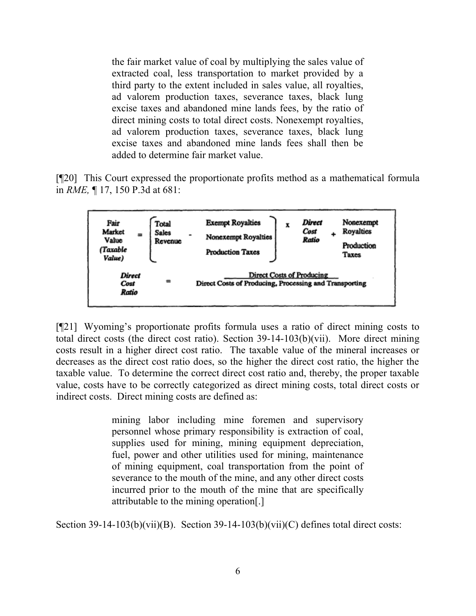the fair market value of coal by multiplying the sales value of extracted coal, less transportation to market provided by a third party to the extent included in sales value, all royalties, ad valorem production taxes, severance taxes, black lung excise taxes and abandoned mine lands fees, by the ratio of direct mining costs to total direct costs. Nonexempt royalties, ad valorem production taxes, severance taxes, black lung excise taxes and abandoned mine lands fees shall then be added to determine fair market value.

[¶20] This Court expressed the proportionate profits method as a mathematical formula in *RME,* ¶ 17, 150 P.3d at 681:



[¶21] Wyoming's proportionate profits formula uses a ratio of direct mining costs to total direct costs (the direct cost ratio). Section 39-14-103(b)(vii). More direct mining costs result in a higher direct cost ratio. The taxable value of the mineral increases or decreases as the direct cost ratio does, so the higher the direct cost ratio, the higher the taxable value. To determine the correct direct cost ratio and, thereby, the proper taxable value, costs have to be correctly categorized as direct mining costs, total direct costs or indirect costs. Direct mining costs are defined as:

> mining labor including mine foremen and supervisory personnel whose primary responsibility is extraction of coal, supplies used for mining, mining equipment depreciation, fuel, power and other utilities used for mining, maintenance of mining equipment, coal transportation from the point of severance to the mouth of the mine, and any other direct costs incurred prior to the mouth of the mine that are specifically attributable to the mining operation[.]

Section 39-14-103(b)(vii)(B). Section 39-14-103(b)(vii)(C) defines total direct costs: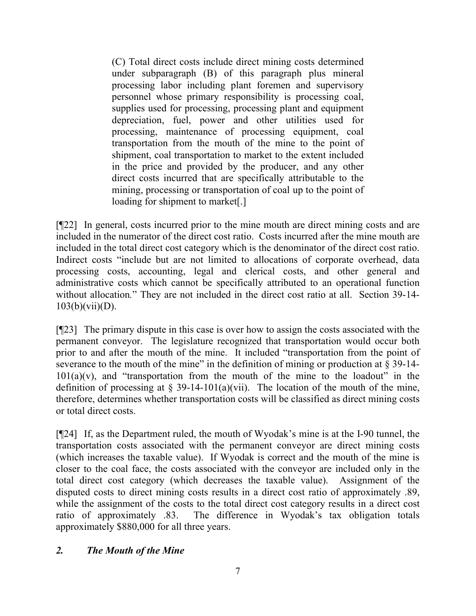(C) Total direct costs include direct mining costs determined under subparagraph (B) of this paragraph plus mineral processing labor including plant foremen and supervisory personnel whose primary responsibility is processing coal, supplies used for processing, processing plant and equipment depreciation, fuel, power and other utilities used for processing, maintenance of processing equipment, coal transportation from the mouth of the mine to the point of shipment, coal transportation to market to the extent included in the price and provided by the producer, and any other direct costs incurred that are specifically attributable to the mining, processing or transportation of coal up to the point of loading for shipment to market[.]

[¶22] In general, costs incurred prior to the mine mouth are direct mining costs and are included in the numerator of the direct cost ratio. Costs incurred after the mine mouth are included in the total direct cost category which is the denominator of the direct cost ratio. Indirect costs "include but are not limited to allocations of corporate overhead, data processing costs, accounting, legal and clerical costs, and other general and administrative costs which cannot be specifically attributed to an operational function without allocation*.*" They are not included in the direct cost ratio at all. Section 39-14-  $103(b)(vii)(D)$ .

[¶23] The primary dispute in this case is over how to assign the costs associated with the permanent conveyor. The legislature recognized that transportation would occur both prior to and after the mouth of the mine. It included "transportation from the point of severance to the mouth of the mine" in the definition of mining or production at  $\S 39-14$ - $101(a)(v)$ , and "transportation from the mouth of the mine to the loadout" in the definition of processing at  $\S$  39-14-101(a)(vii). The location of the mouth of the mine, therefore, determines whether transportation costs will be classified as direct mining costs or total direct costs.

[¶24] If, as the Department ruled, the mouth of Wyodak's mine is at the I-90 tunnel, the transportation costs associated with the permanent conveyor are direct mining costs (which increases the taxable value). If Wyodak is correct and the mouth of the mine is closer to the coal face, the costs associated with the conveyor are included only in the total direct cost category (which decreases the taxable value). Assignment of the disputed costs to direct mining costs results in a direct cost ratio of approximately .89, while the assignment of the costs to the total direct cost category results in a direct cost ratio of approximately .83. The difference in Wyodak's tax obligation totals approximately \$880,000 for all three years.

# *2. The Mouth of the Mine*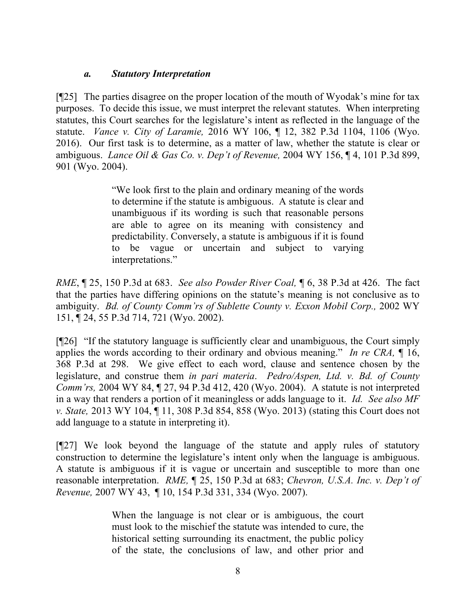### *a. Statutory Interpretation*

[¶25] The parties disagree on the proper location of the mouth of Wyodak's mine for tax purposes. To decide this issue, we must interpret the relevant statutes. When interpreting statutes, this Court searches for the legislature's intent as reflected in the language of the statute. *Vance v. City of Laramie,* 2016 WY 106, ¶ 12, 382 P.3d 1104, 1106 (Wyo. 2016).Our first task is to determine, as a matter of law, whether the statute is clear or ambiguous. *Lance Oil & Gas Co. v. Dep't of Revenue,* 2004 WY 156, ¶ 4, 101 P.3d 899, 901 (Wyo. 2004).

> "We look first to the plain and ordinary meaning of the words to determine if the statute is ambiguous. A statute is clear and unambiguous if its wording is such that reasonable persons are able to agree on its meaning with consistency and predictability. Conversely, a statute is ambiguous if it is found to be vague or uncertain and subject to varying interpretations."

*RME*, ¶ 25, 150 P.3d at 683. *See also Powder River Coal,* ¶ 6, 38 P.3d at 426. The fact that the parties have differing opinions on the statute's meaning is not conclusive as to ambiguity. *Bd. of County Comm'rs of Sublette County v. Exxon Mobil Corp.*, 2002 WY 151, ¶ 24, 55 P.3d 714, 721 (Wyo. 2002).

[¶26] "If the statutory language is sufficiently clear and unambiguous, the Court simply applies the words according to their ordinary and obvious meaning." *In re CRA,* ¶ 16, 368 P.3d at 298. We give effect to each word, clause and sentence chosen by the legislature, and construe them *in pari materia*. *Pedro/Aspen, Ltd. v. Bd. of County Comm'rs,* 2004 WY 84, ¶ 27, 94 P.3d 412, 420 (Wyo. 2004). A statute is not interpreted in a way that renders a portion of it meaningless or adds language to it. *Id. See also MF v. State,* 2013 WY 104, ¶ 11, 308 P.3d 854, 858 (Wyo. 2013) (stating this Court does not add language to a statute in interpreting it).

[¶27] We look beyond the language of the statute and apply rules of statutory construction to determine the legislature's intent only when the language is ambiguous. A statute is ambiguous if it is vague or uncertain and susceptible to more than one reasonable interpretation. *RME,* ¶ 25, 150 P.3d at 683; *Chevron, U.S.A. Inc. v. Dep't of Revenue,* 2007 WY 43, ¶ 10, 154 P.3d 331, 334 (Wyo. 2007).

> When the language is not clear or is ambiguous, the court must look to the mischief the statute was intended to cure, the historical setting surrounding its enactment, the public policy of the state, the conclusions of law, and other prior and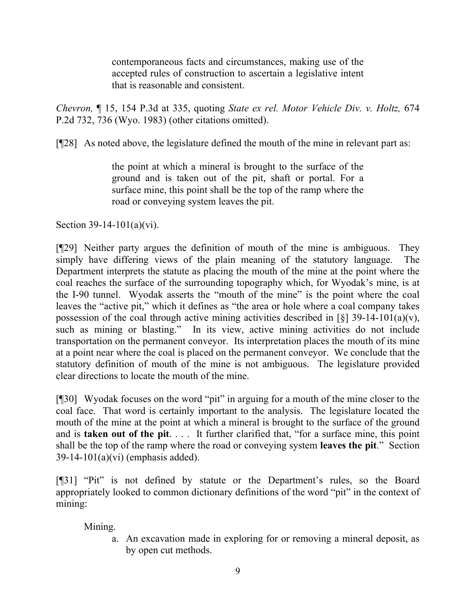contemporaneous facts and circumstances, making use of the accepted rules of construction to ascertain a legislative intent that is reasonable and consistent.

*Chevron,* ¶ 15, 154 P.3d at 335, quoting *State ex rel. Motor Vehicle Div. v. Holtz,* 674 P.2d 732, 736 (Wyo. 1983) (other citations omitted).

[¶28] As noted above, the legislature defined the mouth of the mine in relevant part as:

the point at which a mineral is brought to the surface of the ground and is taken out of the pit, shaft or portal. For a surface mine, this point shall be the top of the ramp where the road or conveying system leaves the pit.

Section 39-14-101(a)(vi).

[¶29] Neither party argues the definition of mouth of the mine is ambiguous. They simply have differing views of the plain meaning of the statutory language. The Department interprets the statute as placing the mouth of the mine at the point where the coal reaches the surface of the surrounding topography which, for Wyodak's mine, is at the I-90 tunnel. Wyodak asserts the "mouth of the mine" is the point where the coal leaves the "active pit," which it defines as "the area or hole where a coal company takes possession of the coal through active mining activities described in [§] 39-14-101(a)(v), such as mining or blasting." In its view, active mining activities do not include transportation on the permanent conveyor. Its interpretation places the mouth of its mine at a point near where the coal is placed on the permanent conveyor. We conclude that the statutory definition of mouth of the mine is not ambiguous. The legislature provided clear directions to locate the mouth of the mine.

[¶30] Wyodak focuses on the word "pit" in arguing for a mouth of the mine closer to the coal face. That word is certainly important to the analysis. The legislature located the mouth of the mine at the point at which a mineral is brought to the surface of the ground and is **taken out of the pit**. . . . It further clarified that, "for a surface mine, this point shall be the top of the ramp where the road or conveying system **leaves the pit**." Section 39-14-101(a)(vi) (emphasis added).

[¶31] "Pit" is not defined by statute or the Department's rules, so the Board appropriately looked to common dictionary definitions of the word "pit" in the context of mining:

Mining.

a. An excavation made in exploring for or removing a mineral deposit, as by open cut methods.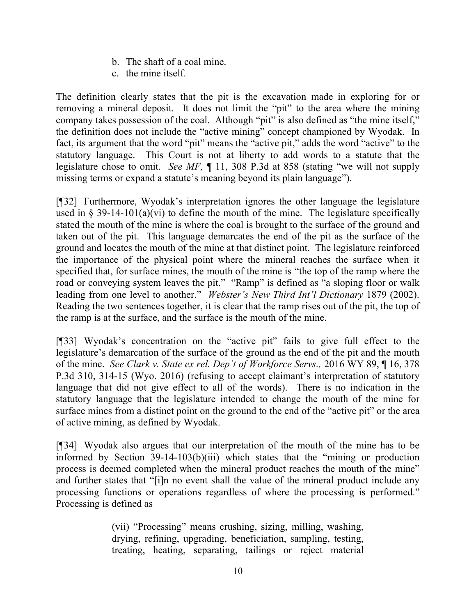- b. The shaft of a coal mine.
- c. the mine itself.

The definition clearly states that the pit is the excavation made in exploring for or removing a mineral deposit. It does not limit the "pit" to the area where the mining company takes possession of the coal. Although "pit" is also defined as "the mine itself," the definition does not include the "active mining" concept championed by Wyodak. In fact, its argument that the word "pit" means the "active pit," adds the word "active" to the statutory language. This Court is not at liberty to add words to a statute that the legislature chose to omit. *See MF,* ¶ 11, 308 P.3d at 858 (stating "we will not supply missing terms or expand a statute's meaning beyond its plain language").

[¶32] Furthermore, Wyodak's interpretation ignores the other language the legislature used in § 39-14-101(a)(vi) to define the mouth of the mine. The legislature specifically stated the mouth of the mine is where the coal is brought to the surface of the ground and taken out of the pit. This language demarcates the end of the pit as the surface of the ground and locates the mouth of the mine at that distinct point. The legislature reinforced the importance of the physical point where the mineral reaches the surface when it specified that, for surface mines, the mouth of the mine is "the top of the ramp where the road or conveying system leaves the pit." "Ramp" is defined as "a sloping floor or walk leading from one level to another." *Webster's New Third Int'l Dictionary* 1879 (2002). Reading the two sentences together, it is clear that the ramp rises out of the pit, the top of the ramp is at the surface, and the surface is the mouth of the mine.

[¶33] Wyodak's concentration on the "active pit" fails to give full effect to the legislature's demarcation of the surface of the ground as the end of the pit and the mouth of the mine. *See Clark v. State ex rel. Dep't of Workforce Servs.,* 2016 WY 89, ¶ 16, 378 P.3d 310, 314-15 (Wyo. 2016) (refusing to accept claimant's interpretation of statutory language that did not give effect to all of the words). There is no indication in the statutory language that the legislature intended to change the mouth of the mine for surface mines from a distinct point on the ground to the end of the "active pit" or the area of active mining, as defined by Wyodak.

[¶34] Wyodak also argues that our interpretation of the mouth of the mine has to be informed by Section 39-14-103(b)(iii) which states that the "mining or production process is deemed completed when the mineral product reaches the mouth of the mine" and further states that "[i]n no event shall the value of the mineral product include any processing functions or operations regardless of where the processing is performed." Processing is defined as

> (vii) "Processing" means crushing, sizing, milling, washing, drying, refining, upgrading, beneficiation, sampling, testing, treating, heating, separating, tailings or reject material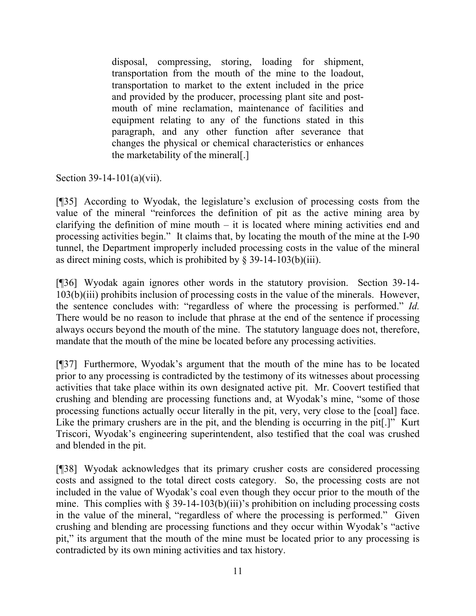disposal, compressing, storing, loading for shipment, transportation from the mouth of the mine to the loadout, transportation to market to the extent included in the price and provided by the producer, processing plant site and postmouth of mine reclamation, maintenance of facilities and equipment relating to any of the functions stated in this paragraph, and any other function after severance that changes the physical or chemical characteristics or enhances the marketability of the mineral[.]

Section 39-14-101(a)(vii).

[¶35] According to Wyodak, the legislature's exclusion of processing costs from the value of the mineral "reinforces the definition of pit as the active mining area by clarifying the definition of mine mouth  $-$  it is located where mining activities end and processing activities begin." It claims that, by locating the mouth of the mine at the I-90 tunnel, the Department improperly included processing costs in the value of the mineral as direct mining costs, which is prohibited by  $\S$  39-14-103(b)(iii).

[¶36] Wyodak again ignores other words in the statutory provision. Section 39-14- 103(b)(iii) prohibits inclusion of processing costs in the value of the minerals. However, the sentence concludes with: "regardless of where the processing is performed." *Id.*  There would be no reason to include that phrase at the end of the sentence if processing always occurs beyond the mouth of the mine. The statutory language does not, therefore, mandate that the mouth of the mine be located before any processing activities.

[¶37] Furthermore, Wyodak's argument that the mouth of the mine has to be located prior to any processing is contradicted by the testimony of its witnesses about processing activities that take place within its own designated active pit. Mr. Coovert testified that crushing and blending are processing functions and, at Wyodak's mine, "some of those processing functions actually occur literally in the pit, very, very close to the [coal] face. Like the primary crushers are in the pit, and the blending is occurring in the pit.]" Kurt Triscori, Wyodak's engineering superintendent, also testified that the coal was crushed and blended in the pit.

[¶38] Wyodak acknowledges that its primary crusher costs are considered processing costs and assigned to the total direct costs category. So, the processing costs are not included in the value of Wyodak's coal even though they occur prior to the mouth of the mine. This complies with  $\S 39-14-103(b)(iii)$ 's prohibition on including processing costs in the value of the mineral, "regardless of where the processing is performed." Given crushing and blending are processing functions and they occur within Wyodak's "active pit," its argument that the mouth of the mine must be located prior to any processing is contradicted by its own mining activities and tax history.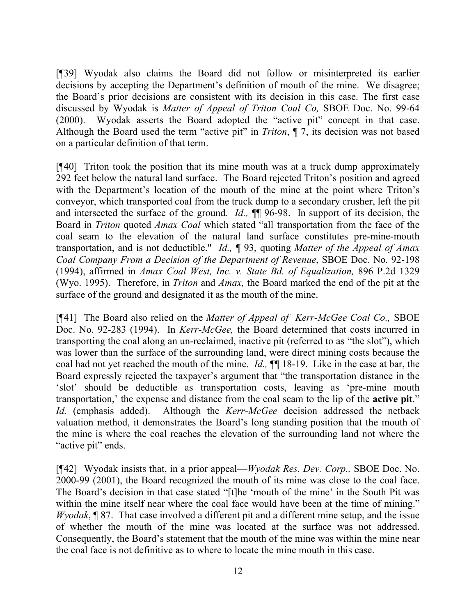[¶39] Wyodak also claims the Board did not follow or misinterpreted its earlier decisions by accepting the Department's definition of mouth of the mine. We disagree; the Board's prior decisions are consistent with its decision in this case. The first case discussed by Wyodak is *Matter of Appeal of Triton Coal Co,* SBOE Doc. No. 99-64 (2000). Wyodak asserts the Board adopted the "active pit" concept in that case. Although the Board used the term "active pit" in *Triton*, ¶ 7, its decision was not based on a particular definition of that term.

[¶40] Triton took the position that its mine mouth was at a truck dump approximately 292 feet below the natural land surface. The Board rejected Triton's position and agreed with the Department's location of the mouth of the mine at the point where Triton's conveyor, which transported coal from the truck dump to a secondary crusher, left the pit and intersected the surface of the ground. *Id.,* ¶¶ 96-98. In support of its decision, the Board in *Triton* quoted *Amax Coal* which stated "all transportation from the face of the coal seam to the elevation of the natural land surface constitutes pre-mine-mouth transportation, and is not deductible." *Id.,* ¶ 93, quoting *Matter of the Appeal of Amax Coal Company From a Decision of the Department of Revenue*, SBOE Doc. No. 92-198 (1994), affirmed in *Amax Coal West, Inc. v. State Bd. of Equalization,* 896 P.2d 1329 (Wyo. 1995). Therefore, in *Triton* and *Amax,* the Board marked the end of the pit at the surface of the ground and designated it as the mouth of the mine.

[¶41] The Board also relied on the *Matter of Appeal of Kerr-McGee Coal Co.,* SBOE Doc. No. 92-283 (1994). In *Kerr-McGee,* the Board determined that costs incurred in transporting the coal along an un-reclaimed, inactive pit (referred to as "the slot"), which was lower than the surface of the surrounding land, were direct mining costs because the coal had not yet reached the mouth of the mine. *Id.,* ¶¶ 18-19. Like in the case at bar, the Board expressly rejected the taxpayer's argument that "the transportation distance in the 'slot' should be deductible as transportation costs, leaving as 'pre-mine mouth transportation,' the expense and distance from the coal seam to the lip of the **active pit**." *Id.* (emphasis added).Although the *Kerr-McGee* decision addressed the netback valuation method, it demonstrates the Board's long standing position that the mouth of the mine is where the coal reaches the elevation of the surrounding land not where the "active pit" ends.

[¶42] Wyodak insists that, in a prior appeal—*Wyodak Res. Dev. Corp.,* SBOE Doc. No. 2000-99 (2001), the Board recognized the mouth of its mine was close to the coal face. The Board's decision in that case stated "[t]he 'mouth of the mine' in the South Pit was within the mine itself near where the coal face would have been at the time of mining." *Wyodak*, ¶ 87. That case involved a different pit and a different mine setup, and the issue of whether the mouth of the mine was located at the surface was not addressed. Consequently, the Board's statement that the mouth of the mine was within the mine near the coal face is not definitive as to where to locate the mine mouth in this case.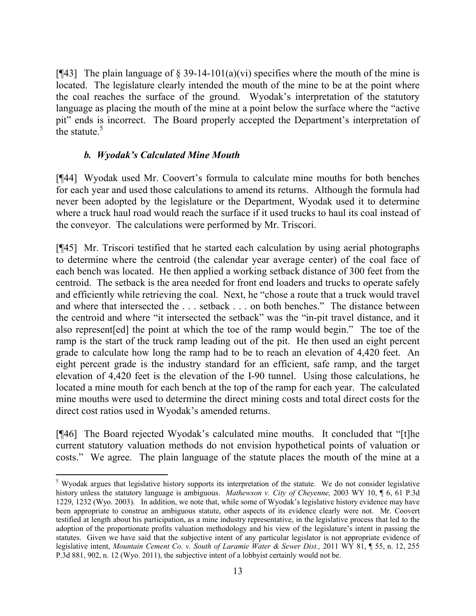[ $[$ 43] The plain language of § 39-14-101(a)(vi) specifies where the mouth of the mine is located. The legislature clearly intended the mouth of the mine to be at the point where the coal reaches the surface of the ground. Wyodak's interpretation of the statutory language as placing the mouth of the mine at a point below the surface where the "active pit" ends is incorrect. The Board properly accepted the Department's interpretation of the statute.<sup>5</sup>

### *b. Wyodak's Calculated Mine Mouth*

l

[¶44] Wyodak used Mr. Coovert's formula to calculate mine mouths for both benches for each year and used those calculations to amend its returns. Although the formula had never been adopted by the legislature or the Department, Wyodak used it to determine where a truck haul road would reach the surface if it used trucks to haul its coal instead of the conveyor. The calculations were performed by Mr. Triscori.

[¶45] Mr. Triscori testified that he started each calculation by using aerial photographs to determine where the centroid (the calendar year average center) of the coal face of each bench was located. He then applied a working setback distance of 300 feet from the centroid. The setback is the area needed for front end loaders and trucks to operate safely and efficiently while retrieving the coal. Next, he "chose a route that a truck would travel and where that intersected the . . . setback . . . on both benches." The distance between the centroid and where "it intersected the setback" was the "in-pit travel distance, and it also represent[ed] the point at which the toe of the ramp would begin." The toe of the ramp is the start of the truck ramp leading out of the pit. He then used an eight percent grade to calculate how long the ramp had to be to reach an elevation of 4,420 feet. An eight percent grade is the industry standard for an efficient, safe ramp, and the target elevation of 4,420 feet is the elevation of the I-90 tunnel. Using those calculations, he located a mine mouth for each bench at the top of the ramp for each year. The calculated mine mouths were used to determine the direct mining costs and total direct costs for the direct cost ratios used in Wyodak's amended returns.

[¶46] The Board rejected Wyodak's calculated mine mouths. It concluded that "[t]he current statutory valuation methods do not envision hypothetical points of valuation or costs." We agree. The plain language of the statute places the mouth of the mine at a

<sup>&</sup>lt;sup>5</sup> Wyodak argues that legislative history supports its interpretation of the statute. We do not consider legislative history unless the statutory language is ambiguous. *Mathewson v. City of Cheyenne,* 2003 WY 10, ¶ 6, 61 P.3d 1229, 1232 (Wyo. 2003). In addition, we note that, while some of Wyodak's legislative history evidence may have been appropriate to construe an ambiguous statute, other aspects of its evidence clearly were not. Mr. Coovert testified at length about his participation, as a mine industry representative, in the legislative process that led to the adoption of the proportionate profits valuation methodology and his view of the legislature's intent in passing the statutes. Given we have said that the subjective intent of any particular legislator is not appropriate evidence of legislative intent, *Mountain Cement Co. v. South of Laramie Water & Sewer Dist.,* 2011 WY 81, ¶ 55, n. 12, 255 P.3d 881, 902, n. 12 (Wyo. 2011), the subjective intent of a lobbyist certainly would not be.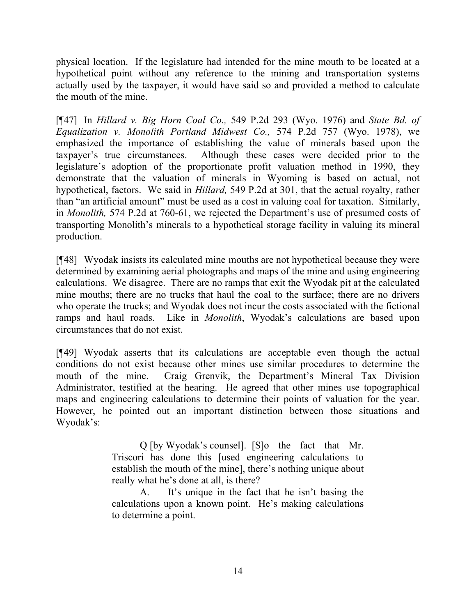physical location. If the legislature had intended for the mine mouth to be located at a hypothetical point without any reference to the mining and transportation systems actually used by the taxpayer, it would have said so and provided a method to calculate the mouth of the mine.

[¶47] In *Hillard v. Big Horn Coal Co.,* 549 P.2d 293 (Wyo. 1976) and *State Bd. of Equalization v. Monolith Portland Midwest Co.,* 574 P.2d 757 (Wyo. 1978), we emphasized the importance of establishing the value of minerals based upon the taxpayer's true circumstances. Although these cases were decided prior to the legislature's adoption of the proportionate profit valuation method in 1990, they demonstrate that the valuation of minerals in Wyoming is based on actual, not hypothetical, factors. We said in *Hillard,* 549 P.2d at 301, that the actual royalty, rather than "an artificial amount" must be used as a cost in valuing coal for taxation. Similarly, in *Monolith,* 574 P.2d at 760-61, we rejected the Department's use of presumed costs of transporting Monolith's minerals to a hypothetical storage facility in valuing its mineral production.

[¶48] Wyodak insists its calculated mine mouths are not hypothetical because they were determined by examining aerial photographs and maps of the mine and using engineering calculations. We disagree. There are no ramps that exit the Wyodak pit at the calculated mine mouths; there are no trucks that haul the coal to the surface; there are no drivers who operate the trucks; and Wyodak does not incur the costs associated with the fictional ramps and haul roads. Like in *Monolith*, Wyodak's calculations are based upon circumstances that do not exist.

[¶49] Wyodak asserts that its calculations are acceptable even though the actual conditions do not exist because other mines use similar procedures to determine the mouth of the mine. Craig Grenvik, the Department's Mineral Tax Division Administrator, testified at the hearing. He agreed that other mines use topographical maps and engineering calculations to determine their points of valuation for the year. However, he pointed out an important distinction between those situations and Wyodak's:

> Q [by Wyodak's counsel]. [S]o the fact that Mr. Triscori has done this [used engineering calculations to establish the mouth of the mine], there's nothing unique about really what he's done at all, is there?

> A. It's unique in the fact that he isn't basing the calculations upon a known point. He's making calculations to determine a point.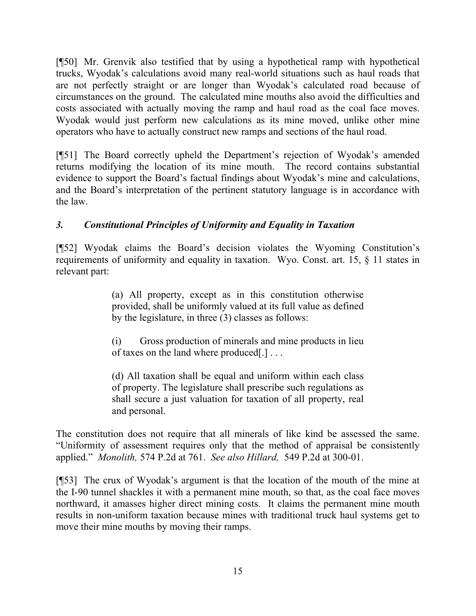[¶50] Mr. Grenvik also testified that by using a hypothetical ramp with hypothetical trucks, Wyodak's calculations avoid many real-world situations such as haul roads that are not perfectly straight or are longer than Wyodak's calculated road because of circumstances on the ground. The calculated mine mouths also avoid the difficulties and costs associated with actually moving the ramp and haul road as the coal face moves. Wyodak would just perform new calculations as its mine moved, unlike other mine operators who have to actually construct new ramps and sections of the haul road.

[¶51] The Board correctly upheld the Department's rejection of Wyodak's amended returns modifying the location of its mine mouth. The record contains substantial evidence to support the Board's factual findings about Wyodak's mine and calculations, and the Board's interpretation of the pertinent statutory language is in accordance with the law.

# *3. Constitutional Principles of Uniformity and Equality in Taxation*

[¶52] Wyodak claims the Board's decision violates the Wyoming Constitution's requirements of uniformity and equality in taxation. Wyo. Const. art. 15, § 11 states in relevant part:

> (a) All property, except as in this constitution otherwise provided, shall be uniformly valued at its full value as defined by the legislature, in three (3) classes as follows:

> (i) Gross production of minerals and mine products in lieu of taxes on the land where produced[.] . . .

> (d) All taxation shall be equal and uniform within each class of property. The legislature shall prescribe such regulations as shall secure a just valuation for taxation of all property, real and personal.

The constitution does not require that all minerals of like kind be assessed the same. "Uniformity of assessment requires only that the method of appraisal be consistently applied." *Monolith,* 574 P.2d at 761. *See also Hillard,* 549 P.2d at 300-01.

[¶53] The crux of Wyodak's argument is that the location of the mouth of the mine at the I-90 tunnel shackles it with a permanent mine mouth, so that, as the coal face moves northward, it amasses higher direct mining costs. It claims the permanent mine mouth results in non-uniform taxation because mines with traditional truck haul systems get to move their mine mouths by moving their ramps.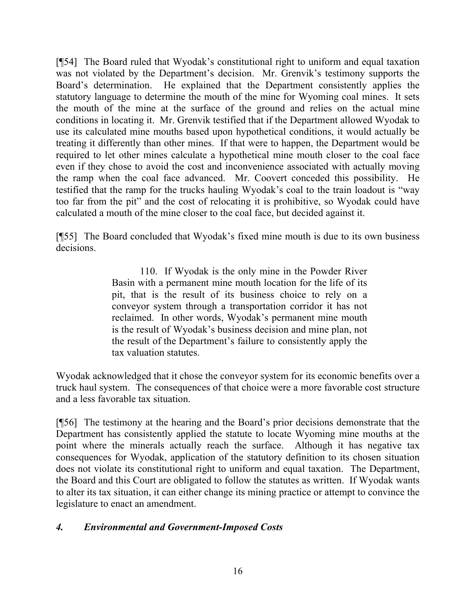[¶54] The Board ruled that Wyodak's constitutional right to uniform and equal taxation was not violated by the Department's decision. Mr. Grenvik's testimony supports the Board's determination. He explained that the Department consistently applies the statutory language to determine the mouth of the mine for Wyoming coal mines. It sets the mouth of the mine at the surface of the ground and relies on the actual mine conditions in locating it. Mr. Grenvik testified that if the Department allowed Wyodak to use its calculated mine mouths based upon hypothetical conditions, it would actually be treating it differently than other mines. If that were to happen, the Department would be required to let other mines calculate a hypothetical mine mouth closer to the coal face even if they chose to avoid the cost and inconvenience associated with actually moving the ramp when the coal face advanced. Mr. Coovert conceded this possibility. He testified that the ramp for the trucks hauling Wyodak's coal to the train loadout is "way too far from the pit" and the cost of relocating it is prohibitive, so Wyodak could have calculated a mouth of the mine closer to the coal face, but decided against it.

[¶55] The Board concluded that Wyodak's fixed mine mouth is due to its own business decisions.

> 110. If Wyodak is the only mine in the Powder River Basin with a permanent mine mouth location for the life of its pit, that is the result of its business choice to rely on a conveyor system through a transportation corridor it has not reclaimed. In other words, Wyodak's permanent mine mouth is the result of Wyodak's business decision and mine plan, not the result of the Department's failure to consistently apply the tax valuation statutes.

Wyodak acknowledged that it chose the conveyor system for its economic benefits over a truck haul system. The consequences of that choice were a more favorable cost structure and a less favorable tax situation.

[¶56] The testimony at the hearing and the Board's prior decisions demonstrate that the Department has consistently applied the statute to locate Wyoming mine mouths at the point where the minerals actually reach the surface. Although it has negative tax consequences for Wyodak, application of the statutory definition to its chosen situation does not violate its constitutional right to uniform and equal taxation. The Department, the Board and this Court are obligated to follow the statutes as written. If Wyodak wants to alter its tax situation, it can either change its mining practice or attempt to convince the legislature to enact an amendment.

# *4. Environmental and Government-Imposed Costs*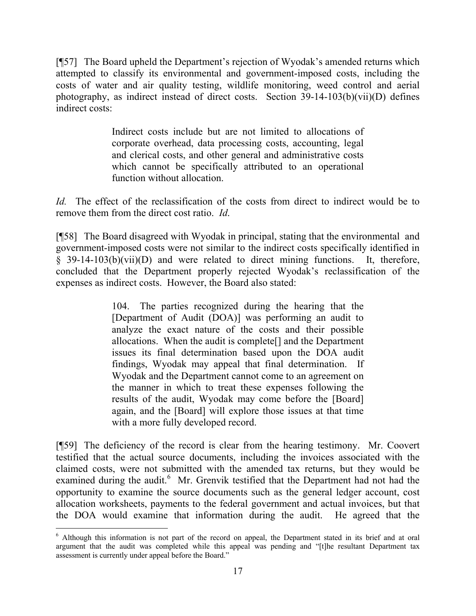[¶57] The Board upheld the Department's rejection of Wyodak's amended returns which attempted to classify its environmental and government-imposed costs, including the costs of water and air quality testing, wildlife monitoring, weed control and aerial photography, as indirect instead of direct costs. Section 39-14-103(b)(vii)(D) defines indirect costs:

> Indirect costs include but are not limited to allocations of corporate overhead, data processing costs, accounting, legal and clerical costs, and other general and administrative costs which cannot be specifically attributed to an operational function without allocation.

*Id.* The effect of the reclassification of the costs from direct to indirect would be to remove them from the direct cost ratio. *Id*.

[¶58] The Board disagreed with Wyodak in principal, stating that the environmental and government-imposed costs were not similar to the indirect costs specifically identified in § 39-14-103(b)(vii)(D) and were related to direct mining functions. It, therefore, concluded that the Department properly rejected Wyodak's reclassification of the expenses as indirect costs. However, the Board also stated:

> 104. The parties recognized during the hearing that the [Department of Audit (DOA)] was performing an audit to analyze the exact nature of the costs and their possible allocations. When the audit is complete[] and the Department issues its final determination based upon the DOA audit findings, Wyodak may appeal that final determination. If Wyodak and the Department cannot come to an agreement on the manner in which to treat these expenses following the results of the audit, Wyodak may come before the [Board] again, and the [Board] will explore those issues at that time with a more fully developed record.

[¶59] The deficiency of the record is clear from the hearing testimony. Mr. Coovert testified that the actual source documents, including the invoices associated with the claimed costs, were not submitted with the amended tax returns, but they would be examined during the audit.<sup>6</sup> Mr. Grenvik testified that the Department had not had the opportunity to examine the source documents such as the general ledger account, cost allocation worksheets, payments to the federal government and actual invoices, but that the DOA would examine that information during the audit. He agreed that the

l

<sup>6</sup> Although this information is not part of the record on appeal, the Department stated in its brief and at oral argument that the audit was completed while this appeal was pending and "[t]he resultant Department tax assessment is currently under appeal before the Board."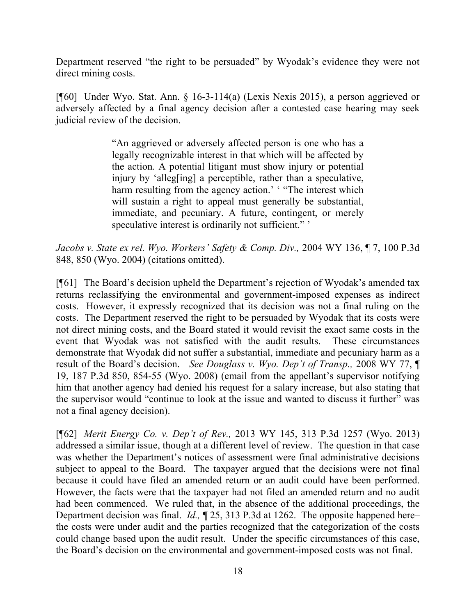Department reserved "the right to be persuaded" by Wyodak's evidence they were not direct mining costs.

[¶60] Under Wyo. Stat. Ann. § 16-3-114(a) (Lexis Nexis 2015), a person aggrieved or adversely affected by a final agency decision after a contested case hearing may seek judicial review of the decision.

> "An aggrieved or adversely affected person is one who has a legally recognizable interest in that which will be affected by the action. A potential litigant must show injury or potential injury by 'alleg[ing] a perceptible, rather than a speculative, harm resulting from the agency action.' "The interest which will sustain a right to appeal must generally be substantial, immediate, and pecuniary. A future, contingent, or merely speculative interest is ordinarily not sufficient."

*Jacobs v. State ex rel. Wyo. Workers' Safety & Comp. Div.,* 2004 WY 136, ¶ 7, 100 P.3d 848, 850 (Wyo. 2004) (citations omitted).

[¶61] The Board's decision upheld the Department's rejection of Wyodak's amended tax returns reclassifying the environmental and government-imposed expenses as indirect costs. However, it expressly recognized that its decision was not a final ruling on the costs. The Department reserved the right to be persuaded by Wyodak that its costs were not direct mining costs, and the Board stated it would revisit the exact same costs in the event that Wyodak was not satisfied with the audit results. These circumstances demonstrate that Wyodak did not suffer a substantial, immediate and pecuniary harm as a result of the Board's decision. *See Douglass v. Wyo. Dep't of Transp.,* 2008 WY 77, ¶ 19, 187 P.3d 850, 854-55 (Wyo. 2008) (email from the appellant's supervisor notifying him that another agency had denied his request for a salary increase, but also stating that the supervisor would "continue to look at the issue and wanted to discuss it further" was not a final agency decision).

[¶62] *Merit Energy Co. v. Dep't of Rev.,* 2013 WY 145, 313 P.3d 1257 (Wyo. 2013) addressed a similar issue, though at a different level of review. The question in that case was whether the Department's notices of assessment were final administrative decisions subject to appeal to the Board. The taxpayer argued that the decisions were not final because it could have filed an amended return or an audit could have been performed. However, the facts were that the taxpayer had not filed an amended return and no audit had been commenced. We ruled that, in the absence of the additional proceedings, the Department decision was final. *Id.,* ¶ 25, 313 P.3d at 1262. The opposite happened here– the costs were under audit and the parties recognized that the categorization of the costs could change based upon the audit result. Under the specific circumstances of this case, the Board's decision on the environmental and government-imposed costs was not final.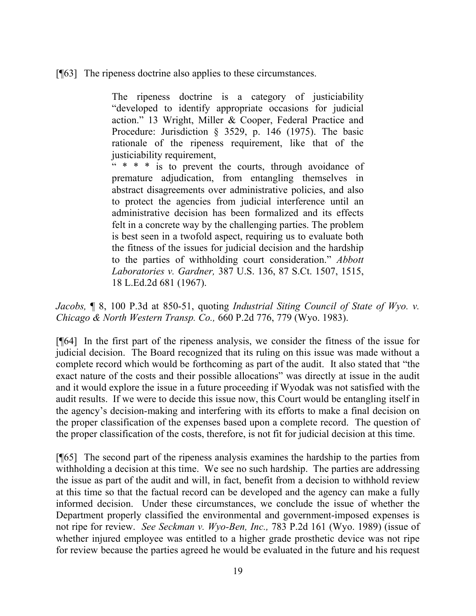[¶63] The ripeness doctrine also applies to these circumstances.

The ripeness doctrine is a category of justiciability "developed to identify appropriate occasions for judicial action." 13 Wright, Miller & Cooper, Federal Practice and Procedure: Jurisdiction § 3529, p. 146 (1975). The basic rationale of the ripeness requirement, like that of the justiciability requirement,

 $x^* * *$  is to prevent the courts, through avoidance of premature adjudication, from entangling themselves in abstract disagreements over administrative policies, and also to protect the agencies from judicial interference until an administrative decision has been formalized and its effects felt in a concrete way by the challenging parties. The problem is best seen in a twofold aspect, requiring us to evaluate both the fitness of the issues for judicial decision and the hardship to the parties of withholding court consideration." *Abbott Laboratories v. Gardner,* 387 U.S. 136, 87 S.Ct. 1507, 1515, 18 L.Ed.2d 681 (1967).

*Jacobs,* ¶ 8, 100 P.3d at 850-51, quoting *Industrial Siting Council of State of Wyo. v. Chicago & North Western Transp. Co.,* 660 P.2d 776, 779 (Wyo. 1983).

[¶64] In the first part of the ripeness analysis, we consider the fitness of the issue for judicial decision. The Board recognized that its ruling on this issue was made without a complete record which would be forthcoming as part of the audit. It also stated that "the exact nature of the costs and their possible allocations" was directly at issue in the audit and it would explore the issue in a future proceeding if Wyodak was not satisfied with the audit results. If we were to decide this issue now, this Court would be entangling itself in the agency's decision-making and interfering with its efforts to make a final decision on the proper classification of the expenses based upon a complete record. The question of the proper classification of the costs, therefore, is not fit for judicial decision at this time.

[¶65] The second part of the ripeness analysis examines the hardship to the parties from withholding a decision at this time. We see no such hardship. The parties are addressing the issue as part of the audit and will, in fact, benefit from a decision to withhold review at this time so that the factual record can be developed and the agency can make a fully informed decision. Under these circumstances, we conclude the issue of whether the Department properly classified the environmental and government-imposed expenses is not ripe for review. *See Seckman v. Wyo-Ben, Inc.,* 783 P.2d 161 (Wyo. 1989) (issue of whether injured employee was entitled to a higher grade prosthetic device was not ripe for review because the parties agreed he would be evaluated in the future and his request